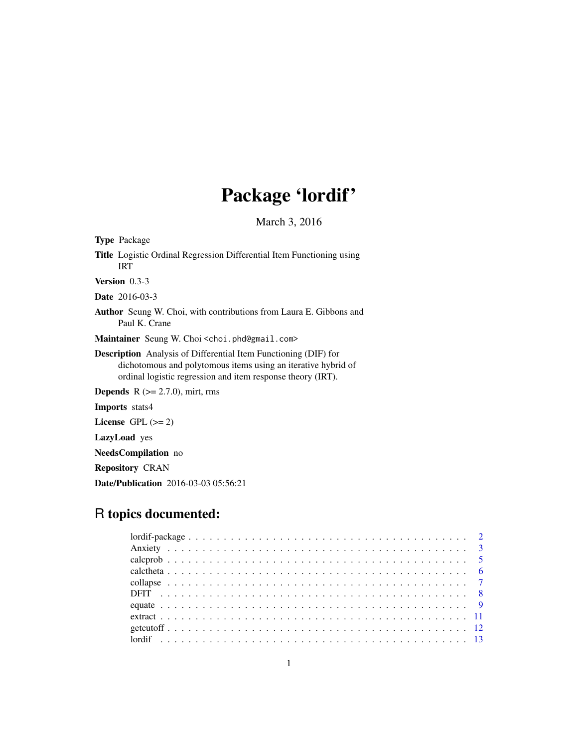# Package 'lordif'

March 3, 2016

<span id="page-0-0"></span>

| <b>Type</b> Package                                                                                                                                                                                    |
|--------------------------------------------------------------------------------------------------------------------------------------------------------------------------------------------------------|
| Title Logistic Ordinal Regression Differential Item Functioning using<br><b>IRT</b>                                                                                                                    |
| Version 0.3-3                                                                                                                                                                                          |
| <b>Date</b> 2016-03-3                                                                                                                                                                                  |
| Author Seung W. Choi, with contributions from Laura E. Gibbons and<br>Paul K. Crane                                                                                                                    |
| Maintainer Seung W. Choi < choi. phd@gmail.com>                                                                                                                                                        |
| <b>Description</b> Analysis of Differential Item Functioning (DIF) for<br>dichotomous and polytomous items using an iterative hybrid of<br>ordinal logistic regression and item response theory (IRT). |
| <b>Depends</b> $R$ ( $>= 2.7.0$ ), mirt, rms                                                                                                                                                           |
| <b>Imports</b> stats4                                                                                                                                                                                  |
| License $GPL \, (= 2)$                                                                                                                                                                                 |
| <b>LazyLoad</b> yes                                                                                                                                                                                    |
| <b>NeedsCompilation</b> no                                                                                                                                                                             |
| <b>Repository CRAN</b>                                                                                                                                                                                 |

Date/Publication 2016-03-03 05:56:21

## R topics documented: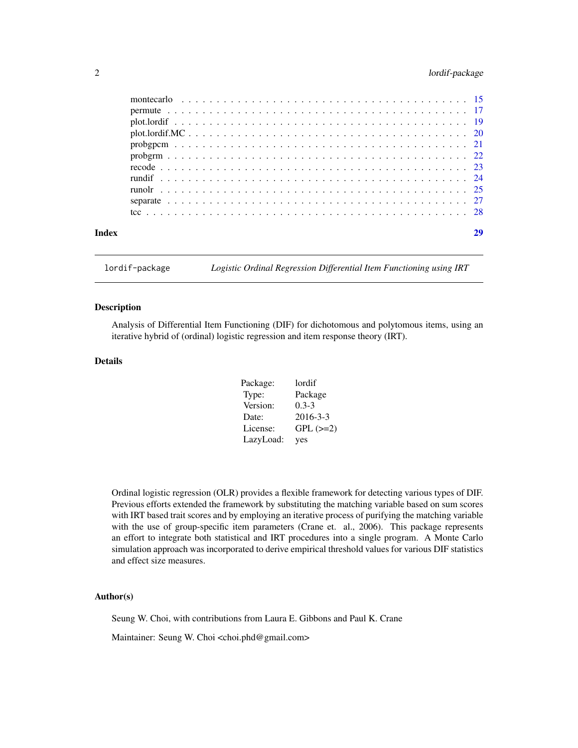#### <span id="page-1-0"></span>2 lordif-package

| Index |  |
|-------|--|
|       |  |
|       |  |
|       |  |
|       |  |
|       |  |
|       |  |
|       |  |
|       |  |
|       |  |
|       |  |
|       |  |

lordif-package *Logistic Ordinal Regression Differential Item Functioning using IRT*

#### Description

Analysis of Differential Item Functioning (DIF) for dichotomous and polytomous items, using an iterative hybrid of (ordinal) logistic regression and item response theory (IRT).

#### Details

| Package:  | lordif          |
|-----------|-----------------|
| Type:     | Package         |
| Version:  | $0.3 - 3$       |
| Date:     | $2016 - 3 - 3$  |
| License:  | $GPL$ ( $>=2$ ) |
| LazyLoad: | yes             |

Ordinal logistic regression (OLR) provides a flexible framework for detecting various types of DIF. Previous efforts extended the framework by substituting the matching variable based on sum scores with IRT based trait scores and by employing an iterative process of purifying the matching variable with the use of group-specific item parameters (Crane et. al., 2006). This package represents an effort to integrate both statistical and IRT procedures into a single program. A Monte Carlo simulation approach was incorporated to derive empirical threshold values for various DIF statistics and effect size measures.

#### Author(s)

Seung W. Choi, with contributions from Laura E. Gibbons and Paul K. Crane

Maintainer: Seung W. Choi <choi.phd@gmail.com>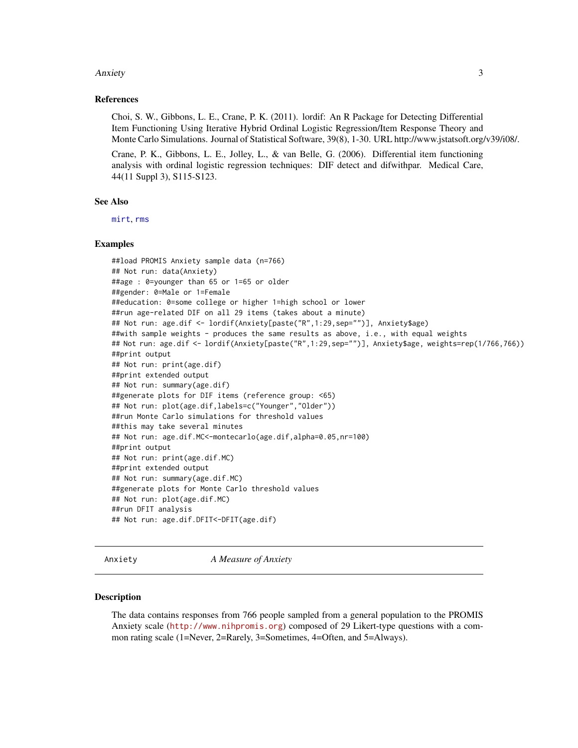#### <span id="page-2-0"></span>Anxiety 3

#### References

Choi, S. W., Gibbons, L. E., Crane, P. K. (2011). lordif: An R Package for Detecting Differential Item Functioning Using Iterative Hybrid Ordinal Logistic Regression/Item Response Theory and Monte Carlo Simulations. Journal of Statistical Software, 39(8), 1-30. URL http://www.jstatsoft.org/v39/i08/.

Crane, P. K., Gibbons, L. E., Jolley, L., & van Belle, G. (2006). Differential item functioning analysis with ordinal logistic regression techniques: DIF detect and difwithpar. Medical Care, 44(11 Suppl 3), S115-S123.

#### See Also

[mirt](#page-0-0), [rms](#page-0-0)

#### Examples

##load PROMIS Anxiety sample data (n=766) ## Not run: data(Anxiety) ##age : 0=younger than 65 or 1=65 or older ##gender: 0=Male or 1=Female ##education: 0=some college or higher 1=high school or lower ##run age-related DIF on all 29 items (takes about a minute) ## Not run: age.dif <- lordif(Anxiety[paste("R",1:29,sep="")], Anxiety\$age) ##with sample weights - produces the same results as above, i.e., with equal weights ## Not run: age.dif <- lordif(Anxiety[paste("R",1:29,sep="")], Anxiety\$age, weights=rep(1/766,766)) ##print output ## Not run: print(age.dif) ##print extended output ## Not run: summary(age.dif) ##generate plots for DIF items (reference group: <65) ## Not run: plot(age.dif,labels=c("Younger","Older")) ##run Monte Carlo simulations for threshold values ##this may take several minutes ## Not run: age.dif.MC<-montecarlo(age.dif,alpha=0.05,nr=100) ##print output ## Not run: print(age.dif.MC) ##print extended output ## Not run: summary(age.dif.MC) ##generate plots for Monte Carlo threshold values ## Not run: plot(age.dif.MC) ##run DFIT analysis ## Not run: age.dif.DFIT<-DFIT(age.dif)

Anxiety *A Measure of Anxiety*

#### Description

The data contains responses from 766 people sampled from a general population to the PROMIS Anxiety scale (<http://www.nihpromis.org>) composed of 29 Likert-type questions with a common rating scale (1=Never, 2=Rarely, 3=Sometimes, 4=Often, and 5=Always).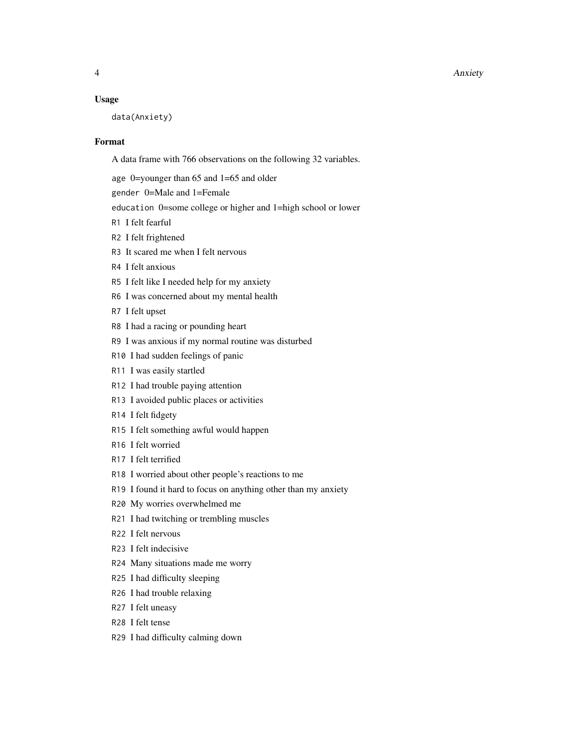#### 4 Anxiety

#### Usage

data(Anxiety)

#### Format

A data frame with 766 observations on the following 32 variables.

age 0=younger than 65 and 1=65 and older

gender 0=Male and 1=Female

education 0=some college or higher and 1=high school or lower

- R1 I felt fearful
- R2 I felt frightened
- R3 It scared me when I felt nervous
- R4 I felt anxious
- R5 I felt like I needed help for my anxiety
- R6 I was concerned about my mental health
- R7 I felt upset
- R8 I had a racing or pounding heart
- R9 I was anxious if my normal routine was disturbed
- R10 I had sudden feelings of panic
- R11 I was easily startled
- R12 I had trouble paying attention
- R13 I avoided public places or activities
- R14 I felt fidgety
- R15 I felt something awful would happen
- R16 I felt worried
- R17 I felt terrified
- R18 I worried about other people's reactions to me
- R19 I found it hard to focus on anything other than my anxiety
- R20 My worries overwhelmed me
- R21 I had twitching or trembling muscles
- R22 I felt nervous
- R23 I felt indecisive
- R24 Many situations made me worry
- R25 I had difficulty sleeping
- R26 I had trouble relaxing
- R27 I felt uneasy
- R28 I felt tense
- R29 I had difficulty calming down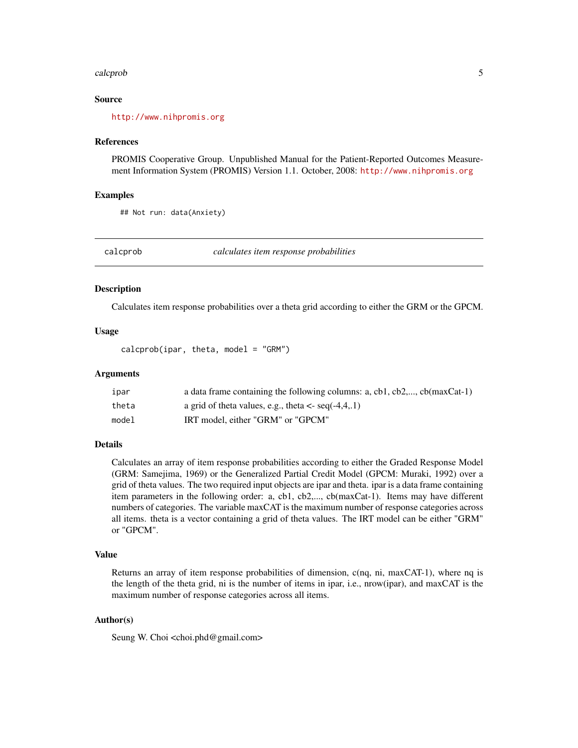#### <span id="page-4-0"></span>calcprob 5

#### Source

<http://www.nihpromis.org>

#### References

PROMIS Cooperative Group. Unpublished Manual for the Patient-Reported Outcomes Measurement Information System (PROMIS) Version 1.1. October, 2008: <http://www.nihpromis.org>

#### Examples

```
## Not run: data(Anxiety)
```
<span id="page-4-1"></span>

calcprob *calculates item response probabilities*

#### **Description**

Calculates item response probabilities over a theta grid according to either the GRM or the GPCM.

#### Usage

 $calc$ prob(ipar, theta, model = "GRM")

#### Arguments

| ıpar  | a data frame containing the following columns: a, cb1, cb2,, cb(maxCat-1) |
|-------|---------------------------------------------------------------------------|
| theta | a grid of theta values, e.g., theta $\lt$ - seq(-4,4,.1)                  |
| model | IRT model, either "GRM" or "GPCM"                                         |

#### **Details**

Calculates an array of item response probabilities according to either the Graded Response Model (GRM: Samejima, 1969) or the Generalized Partial Credit Model (GPCM: Muraki, 1992) over a grid of theta values. The two required input objects are ipar and theta. ipar is a data frame containing item parameters in the following order: a, cb1, cb2,..., cb(maxCat-1). Items may have different numbers of categories. The variable maxCAT is the maximum number of response categories across all items. theta is a vector containing a grid of theta values. The IRT model can be either "GRM" or "GPCM".

#### Value

Returns an array of item response probabilities of dimension,  $c(nq, ni, maxCAT-1)$ , where  $nq$  is the length of the theta grid, ni is the number of items in ipar, i.e., nrow(ipar), and maxCAT is the maximum number of response categories across all items.

#### Author(s)

Seung W. Choi <choi.phd@gmail.com>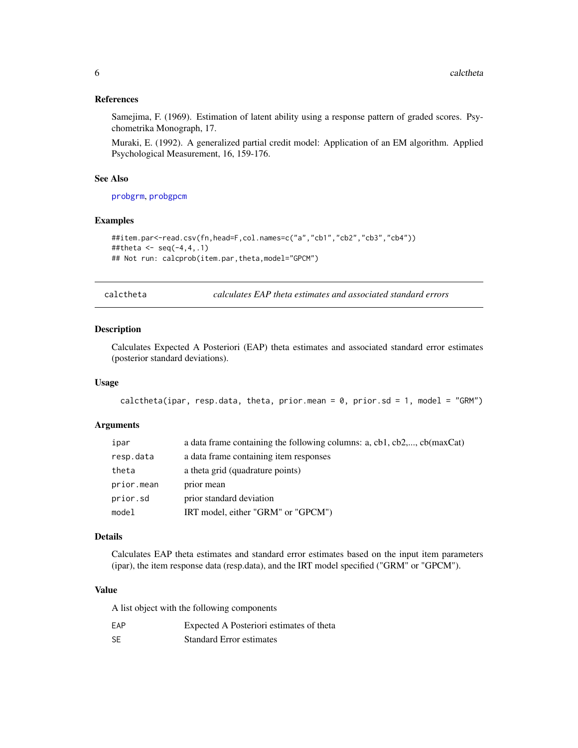#### <span id="page-5-0"></span>References

Samejima, F. (1969). Estimation of latent ability using a response pattern of graded scores. Psychometrika Monograph, 17.

Muraki, E. (1992). A generalized partial credit model: Application of an EM algorithm. Applied Psychological Measurement, 16, 159-176.

#### See Also

[probgrm](#page-21-1), [probgpcm](#page-20-1)

#### Examples

```
##item.par<-read.csv(fn,head=F,col.names=c("a","cb1","cb2","cb3","cb4"))
##theta <- seq(-4, 4, .1)## Not run: calcprob(item.par,theta,model="GPCM")
```
calctheta *calculates EAP theta estimates and associated standard errors*

#### Description

Calculates Expected A Posteriori (EAP) theta estimates and associated standard error estimates (posterior standard deviations).

#### Usage

```
calctheta(ipar, resp.data, theta, prior.mean = 0, prior.sd = 1, model = "GRM")
```
#### Arguments

| ipar       | a data frame containing the following columns: a, cb1, cb2,, cb(maxCat) |
|------------|-------------------------------------------------------------------------|
| resp.data  | a data frame containing item responses                                  |
| theta      | a theta grid (quadrature points)                                        |
| prior.mean | prior mean                                                              |
| prior.sd   | prior standard deviation                                                |
| model      | IRT model, either "GRM" or "GPCM")                                      |

#### Details

Calculates EAP theta estimates and standard error estimates based on the input item parameters (ipar), the item response data (resp.data), and the IRT model specified ("GRM" or "GPCM").

#### Value

A list object with the following components

| EAP       | Expected A Posteriori estimates of theta |
|-----------|------------------------------------------|
| <b>SE</b> | <b>Standard Error estimates</b>          |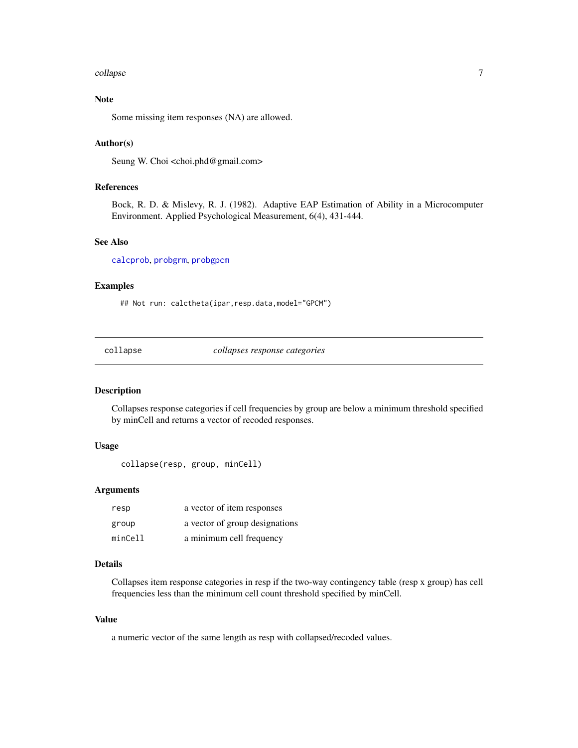#### <span id="page-6-0"></span>collapse 7

#### Note

Some missing item responses (NA) are allowed.

#### Author(s)

Seung W. Choi <choi.phd@gmail.com>

#### References

Bock, R. D. & Mislevy, R. J. (1982). Adaptive EAP Estimation of Ability in a Microcomputer Environment. Applied Psychological Measurement, 6(4), 431-444.

#### See Also

[calcprob](#page-4-1), [probgrm](#page-21-1), [probgpcm](#page-20-1)

#### Examples

## Not run: calctheta(ipar,resp.data,model="GPCM")

collapse *collapses response categories*

#### Description

Collapses response categories if cell frequencies by group are below a minimum threshold specified by minCell and returns a vector of recoded responses.

#### Usage

```
collapse(resp, group, minCell)
```
#### Arguments

| resp    | a vector of item responses     |
|---------|--------------------------------|
| group   | a vector of group designations |
| minCell | a minimum cell frequency       |

#### Details

Collapses item response categories in resp if the two-way contingency table (resp x group) has cell frequencies less than the minimum cell count threshold specified by minCell.

#### Value

a numeric vector of the same length as resp with collapsed/recoded values.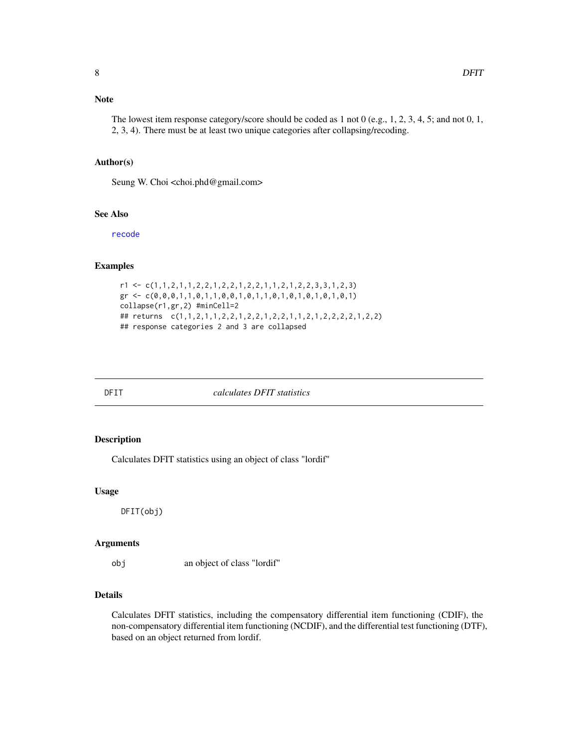#### <span id="page-7-0"></span>Author(s)

Seung W. Choi <choi.phd@gmail.com>

#### See Also

[recode](#page-22-1)

#### Examples

```
r1 \leftarrow c(1,1,2,1,1,2,2,1,2,2,1,2,2,1,1,2,1,2,2,3,3,1,2,3)gr \leftarrow c(0, 0, 0, 1, 1, 0, 1, 1, 0, 0, 1, 0, 1, 1, 0, 1, 0, 1, 0, 1, 0, 1, 0, 1)collapse(r1,gr,2) #minCell=2
## returns c(1,1,2,1,1,2,2,1,2,2,1,2,2,1,1,2,1,2,2,2,2,1,2,2)
## response categories 2 and 3 are collapsed
```
DFIT *calculates DFIT statistics*

#### Description

Calculates DFIT statistics using an object of class "lordif"

#### Usage

DFIT(obj)

#### Arguments

obj an object of class "lordif"

#### Details

Calculates DFIT statistics, including the compensatory differential item functioning (CDIF), the non-compensatory differential item functioning (NCDIF), and the differential test functioning (DTF), based on an object returned from lordif.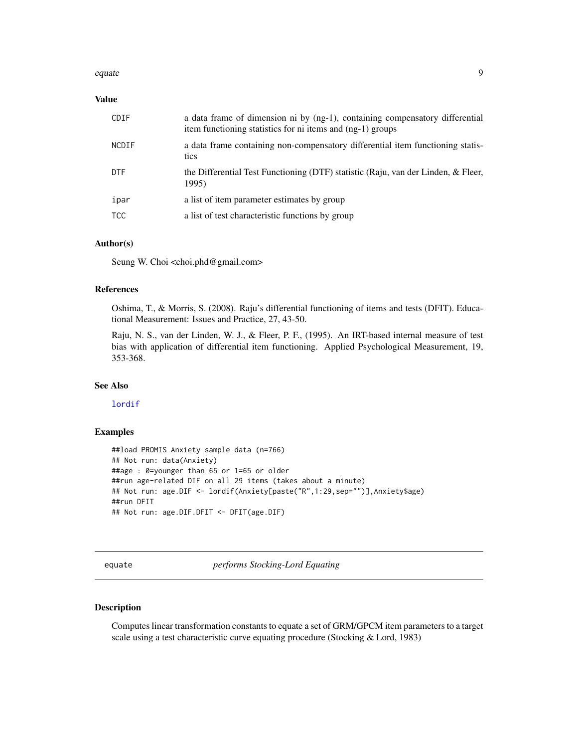#### <span id="page-8-0"></span>equate the set of the set of the set of the set of the set of the set of the set of the set of the set of the set of the set of the set of the set of the set of the set of the set of the set of the set of the set of the se

#### Value

| CDIF         | a data frame of dimension ni by $(ng-1)$ , containing compensatory differential<br>item functioning statistics for ni items and (ng-1) groups |
|--------------|-----------------------------------------------------------------------------------------------------------------------------------------------|
| <b>NCDIF</b> | a data frame containing non-compensatory differential item functioning statis-<br>tics                                                        |
| <b>DTF</b>   | the Differential Test Functioning (DTF) statistic (Raju, van der Linden, & Fleer,<br>1995)                                                    |
| ipar         | a list of item parameter estimates by group                                                                                                   |
| <b>TCC</b>   | a list of test characteristic functions by group                                                                                              |

#### Author(s)

Seung W. Choi <choi.phd@gmail.com>

#### References

Oshima, T., & Morris, S. (2008). Raju's differential functioning of items and tests (DFIT). Educational Measurement: Issues and Practice, 27, 43-50.

Raju, N. S., van der Linden, W. J., & Fleer, P. F., (1995). An IRT-based internal measure of test bias with application of differential item functioning. Applied Psychological Measurement, 19, 353-368.

#### See Also

[lordif](#page-12-1)

#### Examples

```
##load PROMIS Anxiety sample data (n=766)
## Not run: data(Anxiety)
##age : 0=younger than 65 or 1=65 or older
##run age-related DIF on all 29 items (takes about a minute)
## Not run: age.DIF <- lordif(Anxiety[paste("R",1:29,sep="")],Anxiety$age)
##run DFIT
## Not run: age.DIF.DFIT <- DFIT(age.DIF)
```
equate *performs Stocking-Lord Equating*

#### Description

Computes linear transformation constants to equate a set of GRM/GPCM item parameters to a target scale using a test characteristic curve equating procedure (Stocking & Lord, 1983)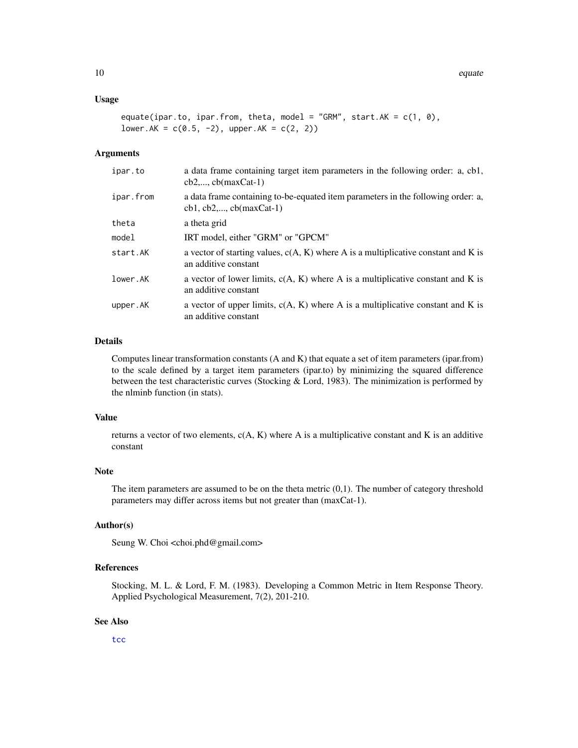#### <span id="page-9-0"></span>Usage

```
equate(ipar.to, ipar.from, theta, model = "GRM", start.AK = c(1, 0),
lower.AK = c(0.5, -2), upper.AK = c(2, 2))
```
#### Arguments

| ipar.to   | a data frame containing target item parameters in the following order: a, cb1,<br>$cb2$ , $cb(maxCat-1)$      |
|-----------|---------------------------------------------------------------------------------------------------------------|
| ipar.from | a data frame containing to-be-equated item parameters in the following order: a,<br>$cb1, cb2,, cb(maxCat-1)$ |
| theta     | a theta grid                                                                                                  |
| model     | IRT model, either "GRM" or "GPCM"                                                                             |
| start.AK  | a vector of starting values, $c(A, K)$ where A is a multiplicative constant and K is<br>an additive constant  |
| lower.AK  | a vector of lower limits, $c(A, K)$ where A is a multiplicative constant and K is<br>an additive constant     |
| upper.AK  | a vector of upper limits, $c(A, K)$ where A is a multiplicative constant and K is<br>an additive constant     |

#### Details

Computes linear transformation constants (A and K) that equate a set of item parameters (ipar.from) to the scale defined by a target item parameters (ipar.to) by minimizing the squared difference between the test characteristic curves (Stocking & Lord, 1983). The minimization is performed by the nlminb function (in stats).

#### Value

returns a vector of two elements,  $c(A, K)$  where A is a multiplicative constant and K is an additive constant

#### Note

The item parameters are assumed to be on the theta metric  $(0,1)$ . The number of category threshold parameters may differ across items but not greater than (maxCat-1).

#### Author(s)

Seung W. Choi <choi.phd@gmail.com>

#### References

Stocking, M. L. & Lord, F. M. (1983). Developing a Common Metric in Item Response Theory. Applied Psychological Measurement, 7(2), 201-210.

#### See Also

[tcc](#page-27-1)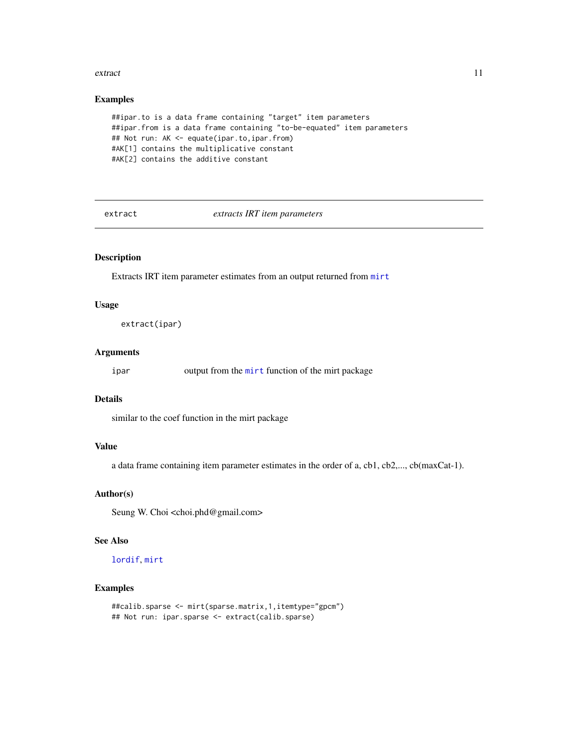#### <span id="page-10-0"></span>extract the contract of the contract of the contract of the contract of the contract of the contract of the contract of the contract of the contract of the contract of the contract of the contract of the contract of the co

#### Examples

```
##ipar.to is a data frame containing "target" item parameters
##ipar.from is a data frame containing "to-be-equated" item parameters
## Not run: AK <- equate(ipar.to,ipar.from)
#AK[1] contains the multiplicative constant
#AK[2] contains the additive constant
```
extract *extracts IRT item parameters*

#### Description

Extracts IRT item parameter estimates from an output returned from [mirt](#page-0-0)

#### Usage

```
extract(ipar)
```
#### Arguments

ipar output from the [mirt](#page-0-0) function of the mirt package

#### Details

similar to the coef function in the mirt package

#### Value

a data frame containing item parameter estimates in the order of a, cb1, cb2,..., cb(maxCat-1).

#### Author(s)

Seung W. Choi <choi.phd@gmail.com>

#### See Also

#### [lordif](#page-12-1), [mirt](#page-0-0)

#### Examples

```
##calib.sparse <- mirt(sparse.matrix,1,itemtype="gpcm")
## Not run: ipar.sparse <- extract(calib.sparse)
```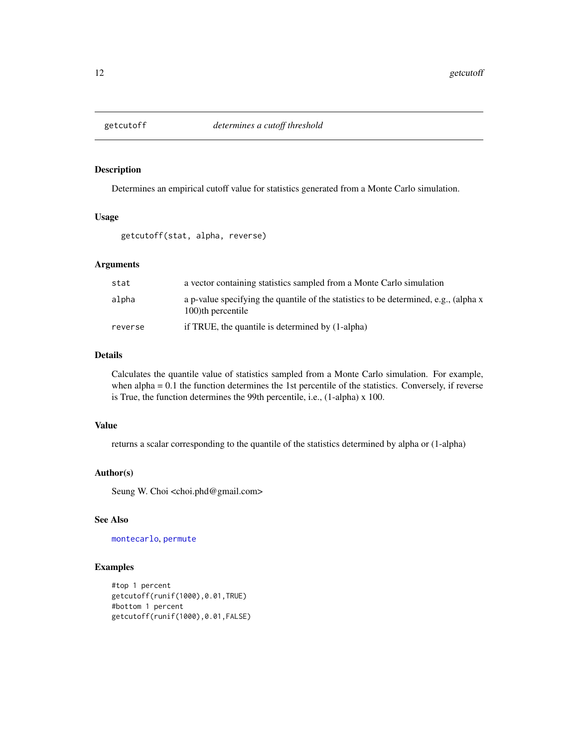<span id="page-11-0"></span>

#### Description

Determines an empirical cutoff value for statistics generated from a Monte Carlo simulation.

#### Usage

getcutoff(stat, alpha, reverse)

#### Arguments

| stat    | a vector containing statistics sampled from a Monte Carlo simulation                                      |
|---------|-----------------------------------------------------------------------------------------------------------|
| alpha   | a p-value specifying the quantile of the statistics to be determined, e.g., (alpha x<br>100)th percentile |
| reverse | if TRUE, the quantile is determined by (1-alpha)                                                          |

#### Details

Calculates the quantile value of statistics sampled from a Monte Carlo simulation. For example, when alpha = 0.1 the function determines the 1st percentile of the statistics. Conversely, if reverse is True, the function determines the 99th percentile, i.e., (1-alpha) x 100.

#### Value

returns a scalar corresponding to the quantile of the statistics determined by alpha or (1-alpha)

#### Author(s)

Seung W. Choi <choi.phd@gmail.com>

#### See Also

[montecarlo](#page-14-1), [permute](#page-16-1)

#### Examples

```
#top 1 percent
getcutoff(runif(1000),0.01,TRUE)
#bottom 1 percent
getcutoff(runif(1000),0.01,FALSE)
```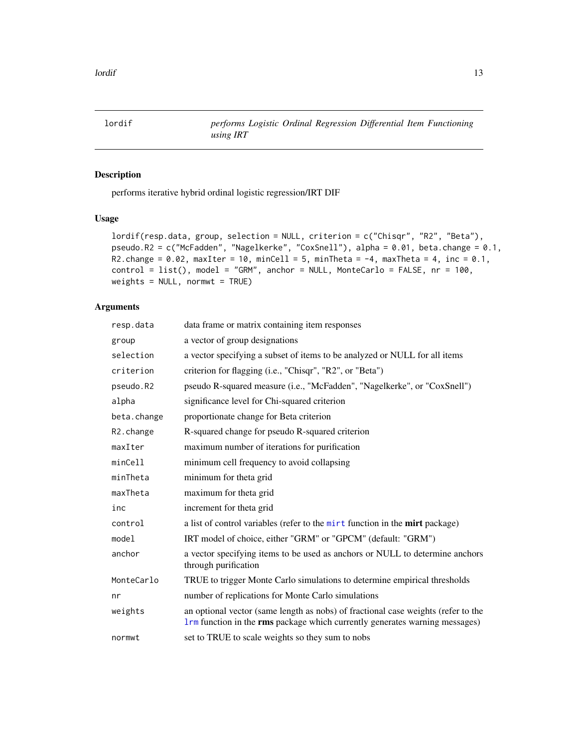<span id="page-12-1"></span><span id="page-12-0"></span>lordif *performs Logistic Ordinal Regression Differential Item Functioning using IRT*

#### Description

performs iterative hybrid ordinal logistic regression/IRT DIF

#### Usage

```
lordif(resp.data, group, selection = NULL, criterion = c("Chisqr", "R2", "Beta"),
pseudo.R2 = c("McFadden", "Nagelkerke", "CoxSnell"), alpha = 0.01, beta.change = 0.1,
R2.change = 0.02, maxIter = 10, minCell = 5, minTheta = -4, maxTheta = 4, inc = 0.1,
control = list(), model = "GRM", anchor = NULL, MonteCarlo = FALSE, nr = 100,
weights = NULL, normwt = TRUE)
```
#### Arguments

| resp.data               | data frame or matrix containing item responses                                                                                                                   |
|-------------------------|------------------------------------------------------------------------------------------------------------------------------------------------------------------|
| group                   | a vector of group designations                                                                                                                                   |
| selection               | a vector specifying a subset of items to be analyzed or NULL for all items                                                                                       |
| criterion               | criterion for flagging (i.e., "Chisqr", "R2", or "Beta")                                                                                                         |
| pseudo.R2               | pseudo R-squared measure (i.e., "McFadden", "Nagelkerke", or "CoxSnell")                                                                                         |
| alpha                   | significance level for Chi-squared criterion                                                                                                                     |
| beta.change             | proportionate change for Beta criterion                                                                                                                          |
| R <sub>2</sub> . change | R-squared change for pseudo R-squared criterion                                                                                                                  |
| maxIter                 | maximum number of iterations for purification                                                                                                                    |
| minCell                 | minimum cell frequency to avoid collapsing                                                                                                                       |
| minTheta                | minimum for theta grid                                                                                                                                           |
| maxTheta                | maximum for theta grid                                                                                                                                           |
| inc                     | increment for theta grid                                                                                                                                         |
| control                 | a list of control variables (refer to the mirt function in the mirt package)                                                                                     |
| model                   | IRT model of choice, either "GRM" or "GPCM" (default: "GRM")                                                                                                     |
| anchor                  | a vector specifying items to be used as anchors or NULL to determine anchors<br>through purification                                                             |
| MonteCarlo              | TRUE to trigger Monte Carlo simulations to determine empirical thresholds                                                                                        |
| nr                      | number of replications for Monte Carlo simulations                                                                                                               |
| weights                 | an optional vector (same length as nobs) of fractional case weights (refer to the<br>Irm function in the rms package which currently generates warning messages) |
| normwt                  | set to TRUE to scale weights so they sum to nobs                                                                                                                 |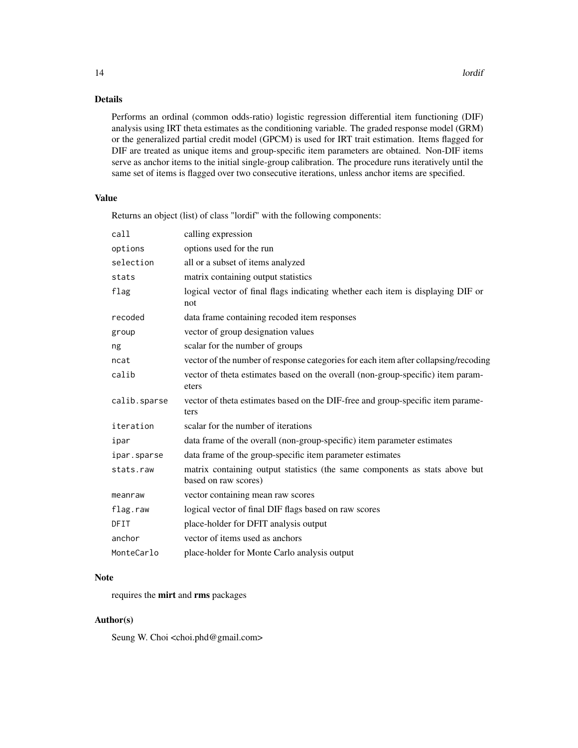#### Details

Performs an ordinal (common odds-ratio) logistic regression differential item functioning (DIF) analysis using IRT theta estimates as the conditioning variable. The graded response model (GRM) or the generalized partial credit model (GPCM) is used for IRT trait estimation. Items flagged for DIF are treated as unique items and group-specific item parameters are obtained. Non-DIF items serve as anchor items to the initial single-group calibration. The procedure runs iteratively until the same set of items is flagged over two consecutive iterations, unless anchor items are specified.

#### Value

Returns an object (list) of class "lordif" with the following components:

| call         | calling expression                                                                                  |
|--------------|-----------------------------------------------------------------------------------------------------|
| options      | options used for the run                                                                            |
| selection    | all or a subset of items analyzed                                                                   |
| stats        | matrix containing output statistics                                                                 |
| flag         | logical vector of final flags indicating whether each item is displaying DIF or<br>not              |
| recoded      | data frame containing recoded item responses                                                        |
| group        | vector of group designation values                                                                  |
| ng           | scalar for the number of groups                                                                     |
| ncat         | vector of the number of response categories for each item after collapsing/recoding                 |
| calib        | vector of theta estimates based on the overall (non-group-specific) item param-<br>eters            |
| calib.sparse | vector of theta estimates based on the DIF-free and group-specific item parame-<br>ters             |
| iteration    | scalar for the number of iterations                                                                 |
| ipar         | data frame of the overall (non-group-specific) item parameter estimates                             |
| ipar.sparse  | data frame of the group-specific item parameter estimates                                           |
| stats.raw    | matrix containing output statistics (the same components as stats above but<br>based on raw scores) |
| meanraw      | vector containing mean raw scores                                                                   |
| flag.raw     | logical vector of final DIF flags based on raw scores                                               |
| DFIT         | place-holder for DFIT analysis output                                                               |
| anchor       | vector of items used as anchors                                                                     |
| MonteCarlo   | place-holder for Monte Carlo analysis output                                                        |

#### Note

requires the mirt and rms packages

#### Author(s)

Seung W. Choi <choi.phd@gmail.com>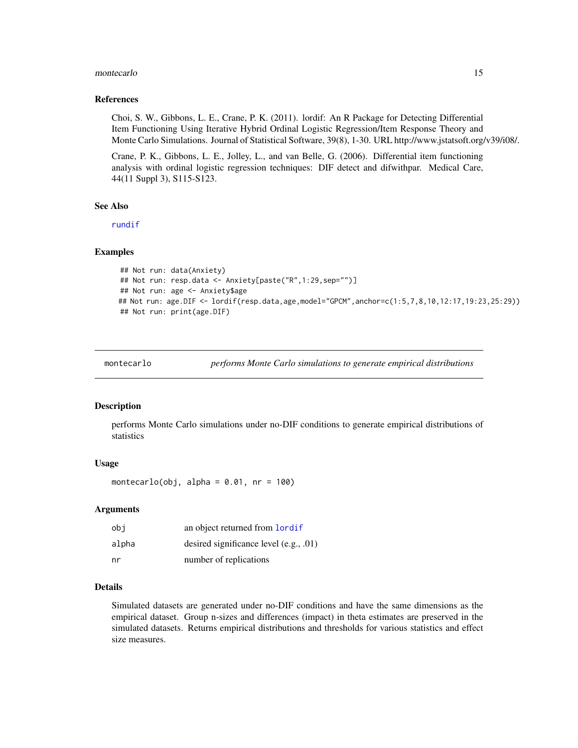#### <span id="page-14-0"></span>montecarlo totale anno 15

#### References

Choi, S. W., Gibbons, L. E., Crane, P. K. (2011). lordif: An R Package for Detecting Differential Item Functioning Using Iterative Hybrid Ordinal Logistic Regression/Item Response Theory and Monte Carlo Simulations. Journal of Statistical Software, 39(8), 1-30. URL http://www.jstatsoft.org/v39/i08/.

Crane, P. K., Gibbons, L. E., Jolley, L., and van Belle, G. (2006). Differential item functioning analysis with ordinal logistic regression techniques: DIF detect and difwithpar. Medical Care, 44(11 Suppl 3), S115-S123.

#### See Also

[rundif](#page-23-1)

#### Examples

```
## Not run: data(Anxiety)
## Not run: resp.data <- Anxiety[paste("R",1:29,sep="")]
## Not run: age <- Anxiety$age
## Not run: age.DIF <- lordif(resp.data,age,model="GPCM",anchor=c(1:5,7,8,10,12:17,19:23,25:29))
## Not run: print(age.DIF)
```
<span id="page-14-1"></span>montecarlo *performs Monte Carlo simulations to generate empirical distributions*

#### Description

performs Monte Carlo simulations under no-DIF conditions to generate empirical distributions of statistics

#### Usage

montecarlo(obj, alpha = 0.01, nr = 100)

#### Arguments

| obi   | an object returned from <b>lordif</b>  |
|-------|----------------------------------------|
| alpha | desired significance level (e.g., .01) |
| nr    | number of replications                 |

#### Details

Simulated datasets are generated under no-DIF conditions and have the same dimensions as the empirical dataset. Group n-sizes and differences (impact) in theta estimates are preserved in the simulated datasets. Returns empirical distributions and thresholds for various statistics and effect size measures.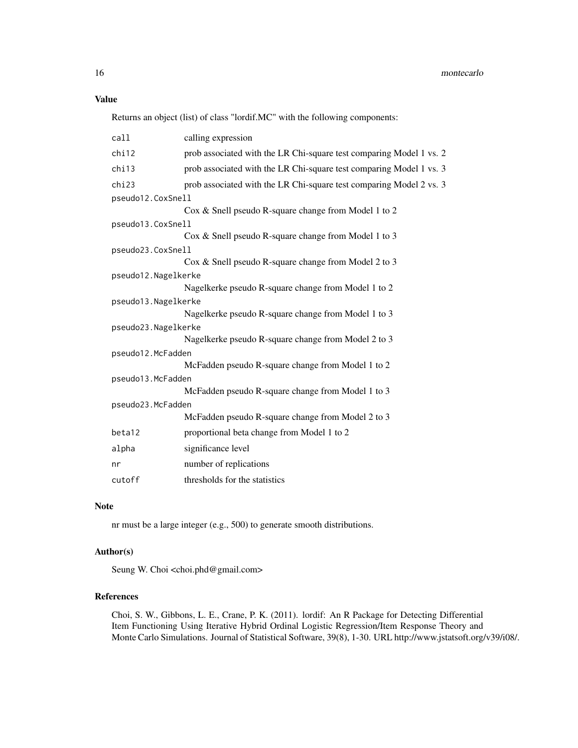### Value

Returns an object (list) of class "lordif.MC" with the following components:

| call                | calling expression                                                  |  |
|---------------------|---------------------------------------------------------------------|--|
| chi12               | prob associated with the LR Chi-square test comparing Model 1 vs. 2 |  |
| chi13               | prob associated with the LR Chi-square test comparing Model 1 vs. 3 |  |
| chi23               | prob associated with the LR Chi-square test comparing Model 2 vs. 3 |  |
| pseudo12.CoxSnell   |                                                                     |  |
|                     | Cox & Snell pseudo R-square change from Model 1 to 2                |  |
| pseudo13.CoxSnell   |                                                                     |  |
|                     | Cox & Snell pseudo R-square change from Model 1 to 3                |  |
| pseudo23.CoxSnell   |                                                                     |  |
|                     | Cox & Snell pseudo R-square change from Model 2 to 3                |  |
| pseudo12.Nagelkerke |                                                                     |  |
|                     | Nagelkerke pseudo R-square change from Model 1 to 2                 |  |
| pseudo13.Nagelkerke |                                                                     |  |
|                     | Nagelkerke pseudo R-square change from Model 1 to 3                 |  |
| pseudo23.Nagelkerke |                                                                     |  |
|                     | Nagelkerke pseudo R-square change from Model 2 to 3                 |  |
| pseudo12.McFadden   |                                                                     |  |
|                     | McFadden pseudo R-square change from Model 1 to 2                   |  |
| pseudo13.McFadden   |                                                                     |  |
|                     | McFadden pseudo R-square change from Model 1 to 3                   |  |
| pseudo23.McFadden   |                                                                     |  |
|                     | McFadden pseudo R-square change from Model 2 to 3                   |  |
| beta12              | proportional beta change from Model 1 to 2                          |  |
| alpha               | significance level                                                  |  |
| nr                  | number of replications                                              |  |
| cutoff              | thresholds for the statistics                                       |  |

#### Note

nr must be a large integer (e.g., 500) to generate smooth distributions.

#### Author(s)

Seung W. Choi <choi.phd@gmail.com>

#### References

Choi, S. W., Gibbons, L. E., Crane, P. K. (2011). lordif: An R Package for Detecting Differential Item Functioning Using Iterative Hybrid Ordinal Logistic Regression/Item Response Theory and Monte Carlo Simulations. Journal of Statistical Software, 39(8), 1-30. URL http://www.jstatsoft.org/v39/i08/.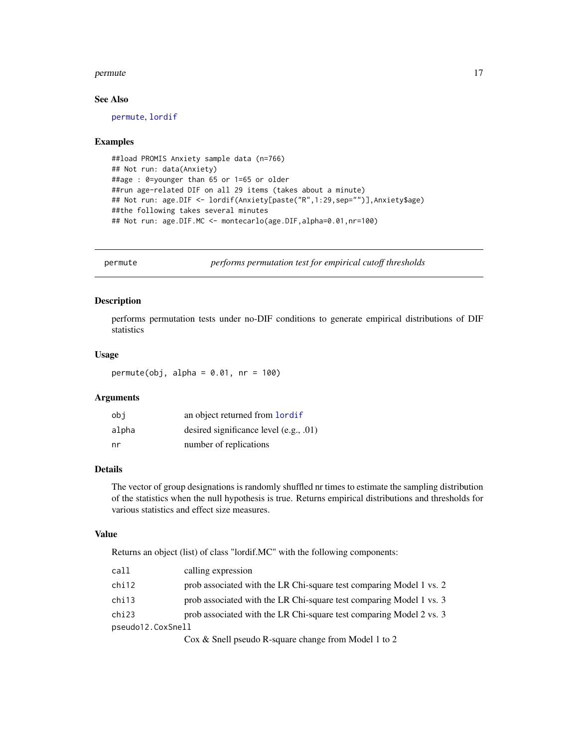#### <span id="page-16-0"></span>permute that the contract of the contract of the contract of the contract of the contract of the contract of the contract of the contract of the contract of the contract of the contract of the contract of the contract of t

#### See Also

[permute](#page-16-1), [lordif](#page-12-1)

#### Examples

```
##load PROMIS Anxiety sample data (n=766)
## Not run: data(Anxiety)
##age : 0=younger than 65 or 1=65 or older
##run age-related DIF on all 29 items (takes about a minute)
## Not run: age.DIF <- lordif(Anxiety[paste("R",1:29,sep="")],Anxiety$age)
##the following takes several minutes
## Not run: age.DIF.MC <- montecarlo(age.DIF,alpha=0.01,nr=100)
```
<span id="page-16-1"></span>permute *performs permutation test for empirical cutoff thresholds*

#### Description

performs permutation tests under no-DIF conditions to generate empirical distributions of DIF statistics

#### Usage

permute(obj, alpha =  $0.01$ , nr = 100)

#### Arguments

| obi   | an object returned from lordif         |
|-------|----------------------------------------|
| alpha | desired significance level (e.g., .01) |
| nr    | number of replications                 |

#### Details

The vector of group designations is randomly shuffled nr times to estimate the sampling distribution of the statistics when the null hypothesis is true. Returns empirical distributions and thresholds for various statistics and effect size measures.

#### Value

Returns an object (list) of class "lordif.MC" with the following components:

| call              | calling expression                                                                                                                                                                                                                                                                                                                            |
|-------------------|-----------------------------------------------------------------------------------------------------------------------------------------------------------------------------------------------------------------------------------------------------------------------------------------------------------------------------------------------|
| chi12             | prob associated with the LR Chi-square test comparing Model 1 vs. 2                                                                                                                                                                                                                                                                           |
| chi13             | prob associated with the LR Chi-square test comparing Model 1 vs. 3                                                                                                                                                                                                                                                                           |
| chi23             | prob associated with the LR Chi-square test comparing Model 2 vs. 3                                                                                                                                                                                                                                                                           |
| pseudo12.CoxSnell |                                                                                                                                                                                                                                                                                                                                               |
|                   | $C_0$ $\mathbb{R}$ $\mathbb{C}_{0}$ $\mathbb{R}$ $\mathbb{C}_{0}$ $\mathbb{R}$ $\mathbb{C}_{1}$ $\mathbb{C}_{0}$ $\mathbb{C}_{1}$ $\mathbb{C}_{0}$ $\mathbb{C}_{1}$ $\mathbb{C}_{0}$ $\mathbb{C}_{1}$ $\mathbb{C}_{0}$ $\mathbb{C}_{1}$ $\mathbb{C}_{1}$ $\mathbb{C}_{1}$ $\mathbb{C}_{1}$ $\mathbb{C}_{1}$ $\mathbb{C}_{1}$ $\mathbb{C}_{1}$ |

Cox & Snell pseudo R-square change from Model 1 to 2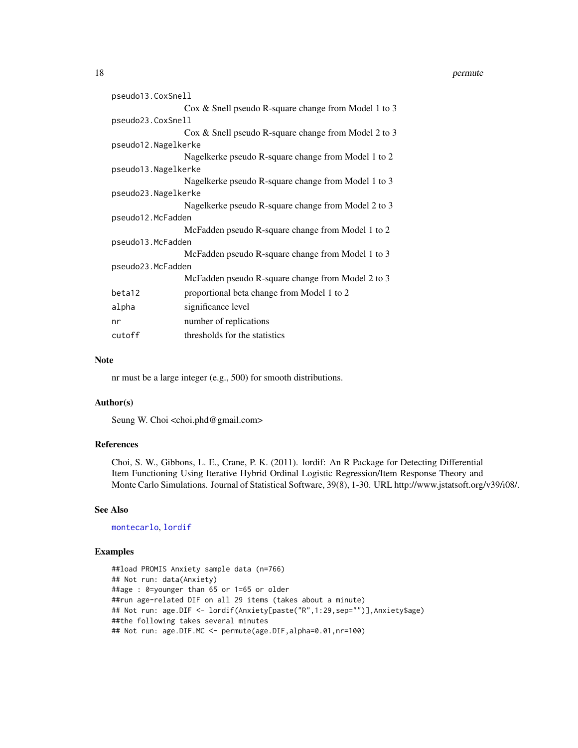#### <span id="page-17-0"></span>18 permute

| pseudo13.CoxSnell   |                                                      |  |
|---------------------|------------------------------------------------------|--|
|                     | Cox & Snell pseudo R-square change from Model 1 to 3 |  |
| pseudo23.CoxSnell   |                                                      |  |
|                     | Cox & Snell pseudo R-square change from Model 2 to 3 |  |
| pseudo12.Nagelkerke |                                                      |  |
|                     | Nagelkerke pseudo R-square change from Model 1 to 2  |  |
| pseudo13.Nagelkerke |                                                      |  |
|                     | Nagelkerke pseudo R-square change from Model 1 to 3  |  |
| pseudo23.Nagelkerke |                                                      |  |
|                     | Nagelkerke pseudo R-square change from Model 2 to 3  |  |
| pseudo12.McFadden   |                                                      |  |
|                     | McFadden pseudo R-square change from Model 1 to 2    |  |
| pseudo13.McFadden   |                                                      |  |
|                     | McFadden pseudo R-square change from Model 1 to 3    |  |
| pseudo23.McFadden   |                                                      |  |
|                     | McFadden pseudo R-square change from Model 2 to 3    |  |
| beta12              | proportional beta change from Model 1 to 2           |  |
| alpha               | significance level                                   |  |
| nr                  | number of replications                               |  |
| cutoff              | thresholds for the statistics                        |  |

#### Note

nr must be a large integer (e.g., 500) for smooth distributions.

#### Author(s)

Seung W. Choi <choi.phd@gmail.com>

#### References

Choi, S. W., Gibbons, L. E., Crane, P. K. (2011). lordif: An R Package for Detecting Differential Item Functioning Using Iterative Hybrid Ordinal Logistic Regression/Item Response Theory and Monte Carlo Simulations. Journal of Statistical Software, 39(8), 1-30. URL http://www.jstatsoft.org/v39/i08/.

#### See Also

[montecarlo](#page-14-1), [lordif](#page-12-1)

#### Examples

```
##load PROMIS Anxiety sample data (n=766)
## Not run: data(Anxiety)
##age : 0=younger than 65 or 1=65 or older
##run age-related DIF on all 29 items (takes about a minute)
## Not run: age.DIF <- lordif(Anxiety[paste("R",1:29,sep="")],Anxiety$age)
##the following takes several minutes
## Not run: age.DIF.MC <- permute(age.DIF,alpha=0.01,nr=100)
```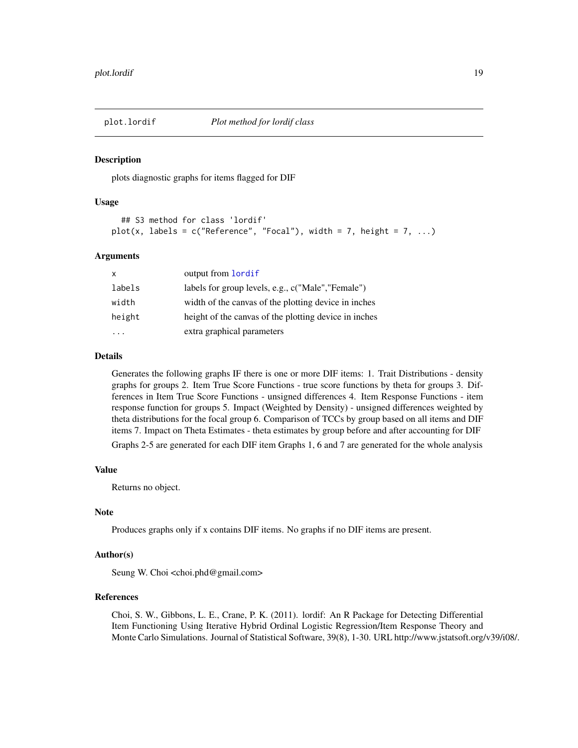<span id="page-18-0"></span>

#### Description

plots diagnostic graphs for items flagged for DIF

#### Usage

```
## S3 method for class 'lordif'
plot(x, labels = c("Reference", "Focal"), width = 7, height = 7, ...)
```
#### Arguments

| $\times$ | output from lordif                                    |
|----------|-------------------------------------------------------|
| labels   | labels for group levels, e.g., c("Male","Female")     |
| width    | width of the canvas of the plotting device in inches  |
| height   | height of the canvas of the plotting device in inches |
|          | extra graphical parameters                            |

#### Details

Generates the following graphs IF there is one or more DIF items: 1. Trait Distributions - density graphs for groups 2. Item True Score Functions - true score functions by theta for groups 3. Differences in Item True Score Functions - unsigned differences 4. Item Response Functions - item response function for groups 5. Impact (Weighted by Density) - unsigned differences weighted by theta distributions for the focal group 6. Comparison of TCCs by group based on all items and DIF items 7. Impact on Theta Estimates - theta estimates by group before and after accounting for DIF

Graphs 2-5 are generated for each DIF item Graphs 1, 6 and 7 are generated for the whole analysis

#### Value

Returns no object.

#### Note

Produces graphs only if x contains DIF items. No graphs if no DIF items are present.

#### Author(s)

Seung W. Choi <choi.phd@gmail.com>

### References

Choi, S. W., Gibbons, L. E., Crane, P. K. (2011). lordif: An R Package for Detecting Differential Item Functioning Using Iterative Hybrid Ordinal Logistic Regression/Item Response Theory and Monte Carlo Simulations. Journal of Statistical Software, 39(8), 1-30. URL http://www.jstatsoft.org/v39/i08/.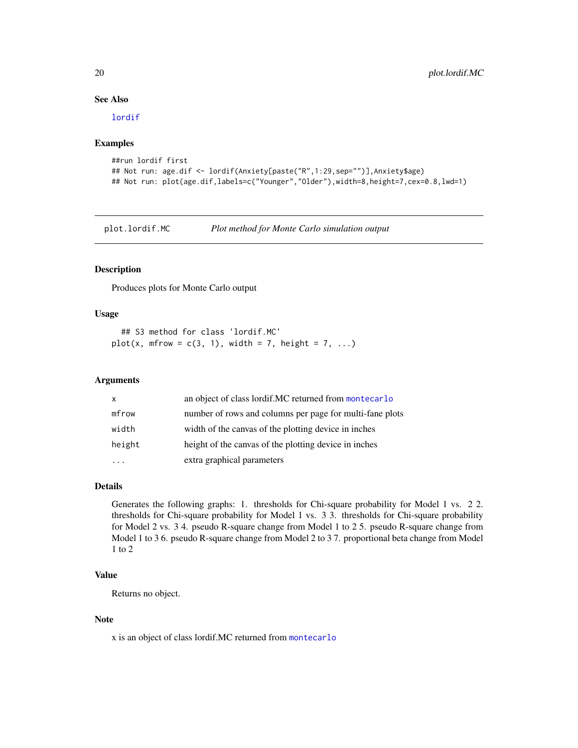#### See Also

[lordif](#page-12-1)

#### Examples

```
##run lordif first
## Not run: age.dif <- lordif(Anxiety[paste("R",1:29,sep="")],Anxiety$age)
## Not run: plot(age.dif,labels=c("Younger","Older"),width=8,height=7,cex=0.8,lwd=1)
```
plot.lordif.MC *Plot method for Monte Carlo simulation output*

#### Description

Produces plots for Monte Carlo output

#### Usage

```
## S3 method for class 'lordif.MC'
plot(x, mfrow = c(3, 1), width = 7, height = 7, ...)
```
#### Arguments

| $\mathsf{x}$ | an object of class lordif.MC returned from montecarlo    |
|--------------|----------------------------------------------------------|
| mfrow        | number of rows and columns per page for multi-fane plots |
| width        | width of the canvas of the plotting device in inches     |
| height       | height of the canvas of the plotting device in inches    |
|              | extra graphical parameters                               |

#### Details

Generates the following graphs: 1. thresholds for Chi-square probability for Model 1 vs. 2 2. thresholds for Chi-square probability for Model 1 vs. 3 3. thresholds for Chi-square probability for Model 2 vs. 3 4. pseudo R-square change from Model 1 to 2 5. pseudo R-square change from Model 1 to 3 6. pseudo R-square change from Model 2 to 3 7. proportional beta change from Model 1 to 2

#### Value

Returns no object.

#### Note

x is an object of class lordif.MC returned from [montecarlo](#page-14-1)

<span id="page-19-0"></span>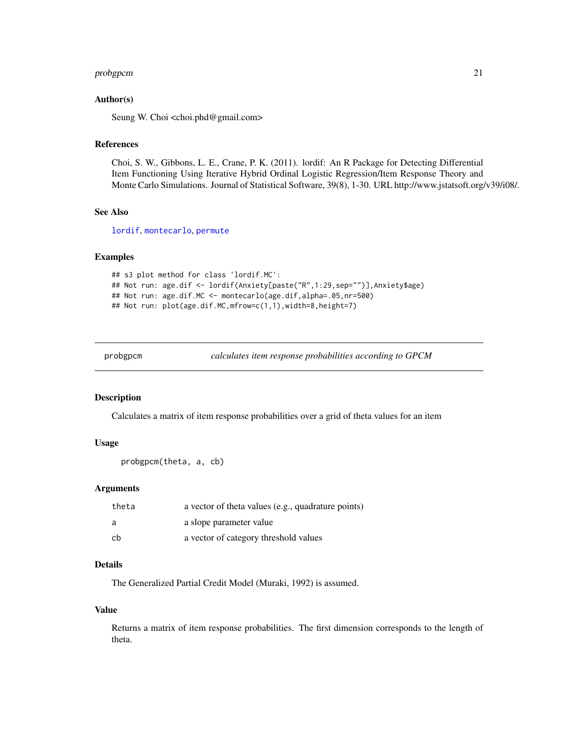#### <span id="page-20-0"></span>probgpcm 21

#### Author(s)

Seung W. Choi <choi.phd@gmail.com>

#### References

Choi, S. W., Gibbons, L. E., Crane, P. K. (2011). lordif: An R Package for Detecting Differential Item Functioning Using Iterative Hybrid Ordinal Logistic Regression/Item Response Theory and Monte Carlo Simulations. Journal of Statistical Software, 39(8), 1-30. URL http://www.jstatsoft.org/v39/i08/.

#### See Also

[lordif](#page-12-1), [montecarlo](#page-14-1), [permute](#page-16-1)

#### Examples

```
## s3 plot method for class 'lordif.MC':
## Not run: age.dif <- lordif(Anxiety[paste("R",1:29,sep="")],Anxiety$age)
## Not run: age.dif.MC <- montecarlo(age.dif,alpha=.05,nr=500)
## Not run: plot(age.dif.MC,mfrow=c(1,1),width=8,height=7)
```
<span id="page-20-1"></span>probgpcm *calculates item response probabilities according to GPCM*

#### Description

Calculates a matrix of item response probabilities over a grid of theta values for an item

#### Usage

```
probgpcm(theta, a, cb)
```
#### Arguments

| theta | a vector of theta values (e.g., quadrature points) |
|-------|----------------------------------------------------|
| a     | a slope parameter value                            |
| cb    | a vector of category threshold values              |

#### Details

The Generalized Partial Credit Model (Muraki, 1992) is assumed.

#### Value

Returns a matrix of item response probabilities. The first dimension corresponds to the length of theta.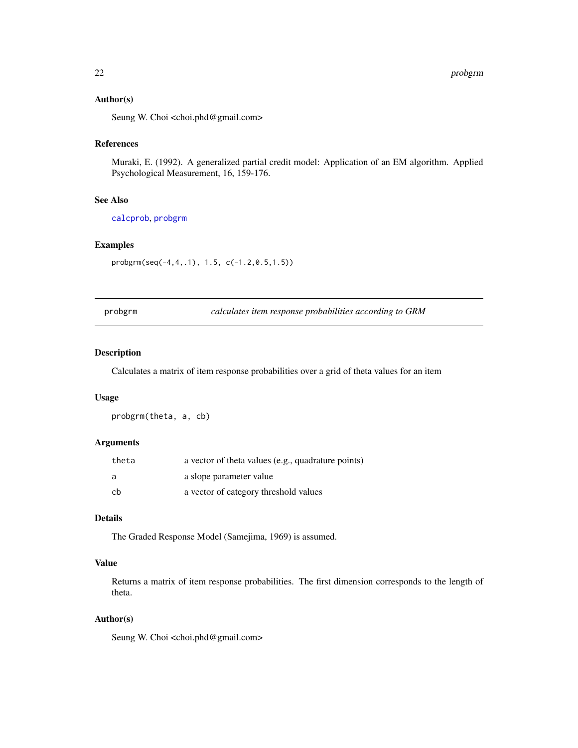#### <span id="page-21-0"></span>Author(s)

Seung W. Choi <choi.phd@gmail.com>

#### References

Muraki, E. (1992). A generalized partial credit model: Application of an EM algorithm. Applied Psychological Measurement, 16, 159-176.

#### See Also

[calcprob](#page-4-1), [probgrm](#page-21-1)

#### Examples

probgrm(seq(-4,4,.1), 1.5, c(-1.2,0.5,1.5))

<span id="page-21-1"></span>probgrm *calculates item response probabilities according to GRM*

#### Description

Calculates a matrix of item response probabilities over a grid of theta values for an item

#### Usage

probgrm(theta, a, cb)

#### Arguments

| theta | a vector of theta values (e.g., quadrature points) |
|-------|----------------------------------------------------|
| a     | a slope parameter value                            |
| -cb   | a vector of category threshold values              |

#### Details

The Graded Response Model (Samejima, 1969) is assumed.

#### Value

Returns a matrix of item response probabilities. The first dimension corresponds to the length of theta.

#### Author(s)

Seung W. Choi <choi.phd@gmail.com>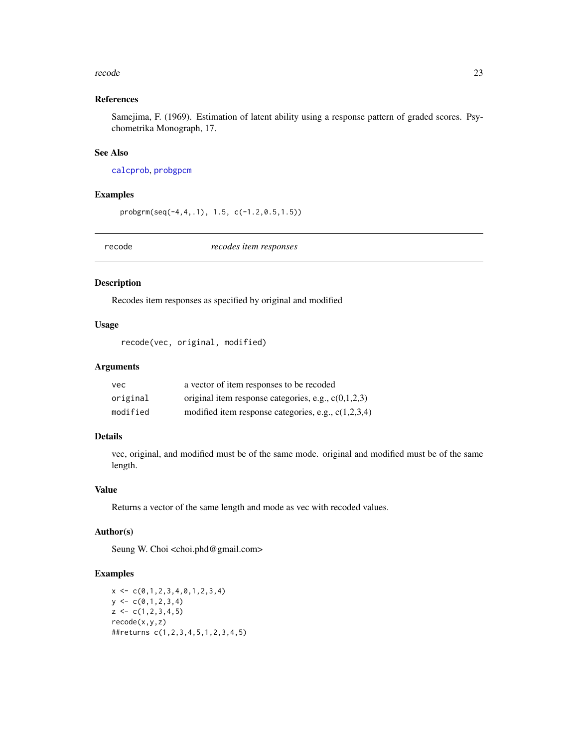#### <span id="page-22-0"></span>recode 23

#### References

Samejima, F. (1969). Estimation of latent ability using a response pattern of graded scores. Psychometrika Monograph, 17.

#### See Also

[calcprob](#page-4-1), [probgpcm](#page-20-1)

#### Examples

probgrm(seq(-4,4,.1), 1.5, c(-1.2,0.5,1.5))

<span id="page-22-1"></span>recode *recodes item responses*

#### Description

Recodes item responses as specified by original and modified

#### Usage

recode(vec, original, modified)

#### Arguments

| vec.     | a vector of item responses to be recoded              |
|----------|-------------------------------------------------------|
| original | original item response categories, e.g., $c(0,1,2,3)$ |
| modified | modified item response categories, e.g., $c(1,2,3,4)$ |

#### Details

vec, original, and modified must be of the same mode. original and modified must be of the same length.

#### Value

Returns a vector of the same length and mode as vec with recoded values.

#### Author(s)

Seung W. Choi <choi.phd@gmail.com>

#### Examples

```
x \leftarrow c(0,1,2,3,4,0,1,2,3,4)y \leftarrow c(0,1,2,3,4)z \leq c(1, 2, 3, 4, 5)recode(x,y,z)
##returns c(1,2,3,4,5,1,2,3,4,5)
```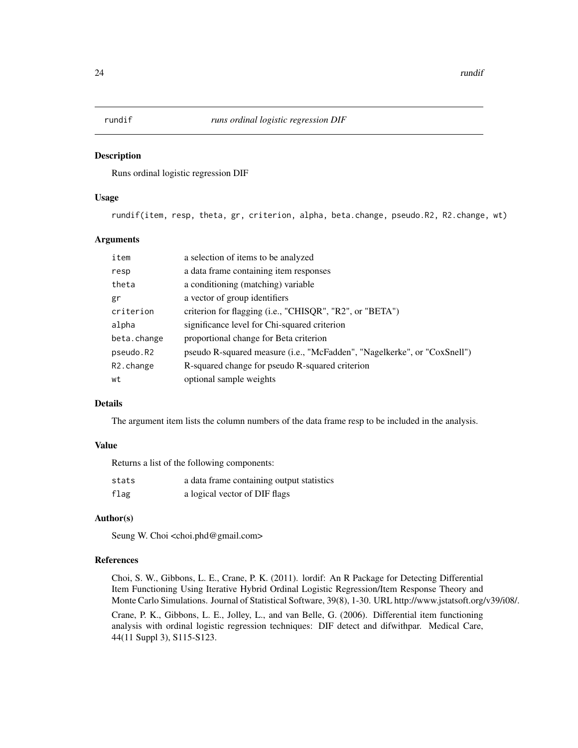<span id="page-23-1"></span><span id="page-23-0"></span>

#### Description

Runs ordinal logistic regression DIF

#### Usage

rundif(item, resp, theta, gr, criterion, alpha, beta.change, pseudo.R2, R2.change, wt)

#### Arguments

| a selection of items to be analyzed                                               |
|-----------------------------------------------------------------------------------|
| a data frame containing item responses                                            |
| a conditioning (matching) variable                                                |
| a vector of group identifiers                                                     |
| criterion for flagging (i.e., "CHISQR", "R2", or "BETA")                          |
| significance level for Chi-squared criterion                                      |
| proportional change for Beta criterion                                            |
| pseudo R-squared measure ( <i>i.e.</i> , "McFadden", "Nagelkerke", or "CoxSnell") |
| R-squared change for pseudo R-squared criterion                                   |
| optional sample weights                                                           |
|                                                                                   |

#### Details

The argument item lists the column numbers of the data frame resp to be included in the analysis.

#### Value

Returns a list of the following components:

| stats | a data frame containing output statistics |
|-------|-------------------------------------------|
| flag  | a logical vector of DIF flags             |

#### Author(s)

Seung W. Choi <choi.phd@gmail.com>

#### References

Choi, S. W., Gibbons, L. E., Crane, P. K. (2011). lordif: An R Package for Detecting Differential Item Functioning Using Iterative Hybrid Ordinal Logistic Regression/Item Response Theory and Monte Carlo Simulations. Journal of Statistical Software, 39(8), 1-30. URL http://www.jstatsoft.org/v39/i08/.

Crane, P. K., Gibbons, L. E., Jolley, L., and van Belle, G. (2006). Differential item functioning analysis with ordinal logistic regression techniques: DIF detect and difwithpar. Medical Care, 44(11 Suppl 3), S115-S123.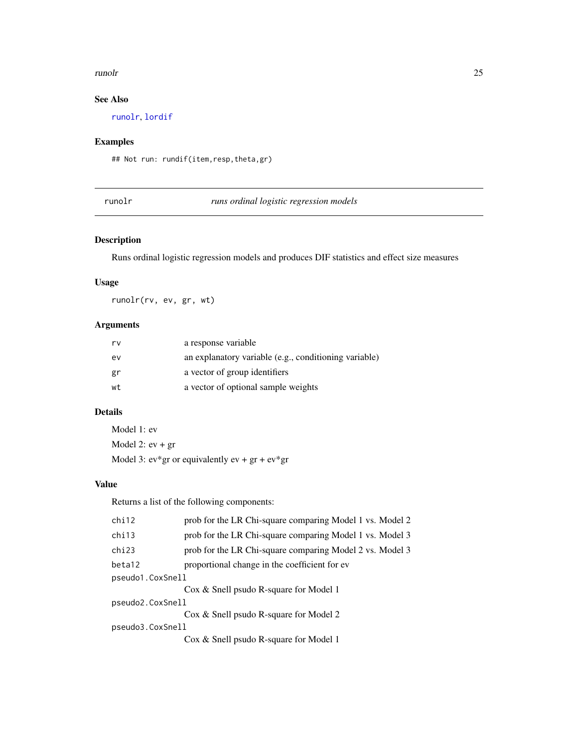#### <span id="page-24-0"></span>runolr and the contract of the contract of the contract of the contract of the contract of the contract of the contract of the contract of the contract of the contract of the contract of the contract of the contract of the

#### See Also

[runolr](#page-24-1), [lordif](#page-12-1)

#### Examples

## Not run: rundif(item,resp,theta,gr)

<span id="page-24-1"></span>runolr *runs ordinal logistic regression models*

#### Description

Runs ordinal logistic regression models and produces DIF statistics and effect size measures

#### Usage

runolr(rv, ev, gr, wt)

#### Arguments

| rv | a response variable                                   |
|----|-------------------------------------------------------|
| ev | an explanatory variable (e.g., conditioning variable) |
| gr | a vector of group identifiers                         |
| wt | a vector of optional sample weights                   |

#### Details

Model 1: ev Model 2:  $ev + gr$ Model 3:  $ev*gr$  or equivalently  $ev + gr + ev*gr$ 

#### Value

Returns a list of the following components:

| chi12            | prob for the LR Chi-square comparing Model 1 vs. Model 2 |  |
|------------------|----------------------------------------------------------|--|
| chi13            | prob for the LR Chi-square comparing Model 1 vs. Model 3 |  |
| chi23            | prob for the LR Chi-square comparing Model 2 vs. Model 3 |  |
| beta12           | proportional change in the coefficient for ev            |  |
| pseudo1.CoxSnell |                                                          |  |
|                  | Cox & Snell psudo R-square for Model 1                   |  |
| pseudo2.CoxSnell |                                                          |  |
|                  | Cox & Snell psudo R-square for Model 2                   |  |
| pseudo3.CoxSnell |                                                          |  |
|                  | Cox & Snell psudo R-square for Model 1                   |  |
|                  |                                                          |  |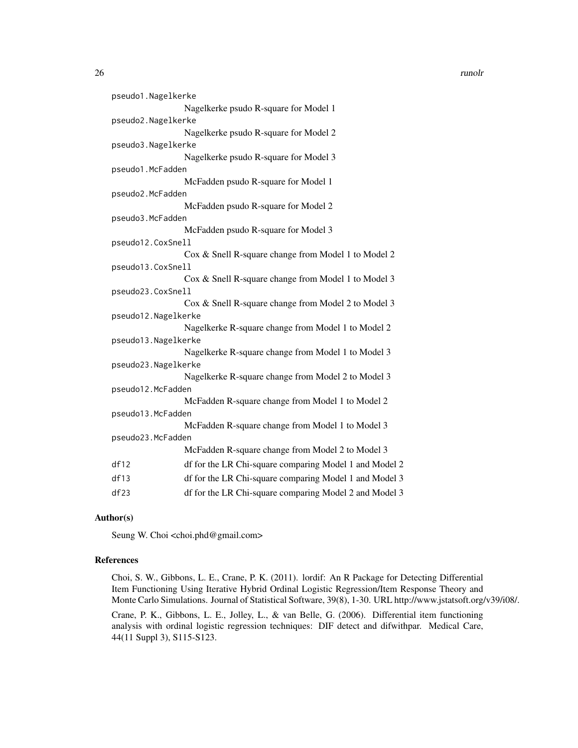26 *runolr runolr runolr <i>runolr**runolr**<b><i>runolr**runolr**runolr**runolr**a <i><i>runolr**runolr**a <i><i><i> <i><i> <i><i> <i> <i><i> <i> <i>*

| pseudo1.Nagelkerke  |                                                        |
|---------------------|--------------------------------------------------------|
|                     | Nagelkerke psudo R-square for Model 1                  |
| pseudo2.Nagelkerke  |                                                        |
|                     | Nagelkerke psudo R-square for Model 2                  |
| pseudo3.Nagelkerke  |                                                        |
|                     | Nagelkerke psudo R-square for Model 3                  |
| pseudo1.McFadden    |                                                        |
|                     | McFadden psudo R-square for Model 1                    |
| pseudo2.McFadden    |                                                        |
|                     | McFadden psudo R-square for Model 2                    |
| pseudo3.McFadden    |                                                        |
|                     | McFadden psudo R-square for Model 3                    |
| pseudo12.CoxSnell   |                                                        |
|                     | Cox & Snell R-square change from Model 1 to Model 2    |
| pseudo13.CoxSnell   |                                                        |
|                     | Cox & Snell R-square change from Model 1 to Model 3    |
| pseudo23.CoxSnell   |                                                        |
|                     | Cox & Snell R-square change from Model 2 to Model 3    |
| pseudo12.Nagelkerke |                                                        |
|                     | Nagelkerke R-square change from Model 1 to Model 2     |
| pseudo13.Nagelkerke |                                                        |
|                     | Nagelkerke R-square change from Model 1 to Model 3     |
| pseudo23.Nagelkerke |                                                        |
|                     | Nagelkerke R-square change from Model 2 to Model 3     |
| pseudo12.McFadden   |                                                        |
|                     | McFadden R-square change from Model 1 to Model 2       |
| pseudo13.McFadden   |                                                        |
|                     | McFadden R-square change from Model 1 to Model 3       |
| pseudo23.McFadden   |                                                        |
|                     | McFadden R-square change from Model 2 to Model 3       |
| df12                | df for the LR Chi-square comparing Model 1 and Model 2 |
| df13                | df for the LR Chi-square comparing Model 1 and Model 3 |
| df23                | df for the LR Chi-square comparing Model 2 and Model 3 |

#### Author(s)

Seung W. Choi <choi.phd@gmail.com>

#### References

Choi, S. W., Gibbons, L. E., Crane, P. K. (2011). lordif: An R Package for Detecting Differential Item Functioning Using Iterative Hybrid Ordinal Logistic Regression/Item Response Theory and Monte Carlo Simulations. Journal of Statistical Software, 39(8), 1-30. URL http://www.jstatsoft.org/v39/i08/.

Crane, P. K., Gibbons, L. E., Jolley, L., & van Belle, G. (2006). Differential item functioning analysis with ordinal logistic regression techniques: DIF detect and difwithpar. Medical Care, 44(11 Suppl 3), S115-S123.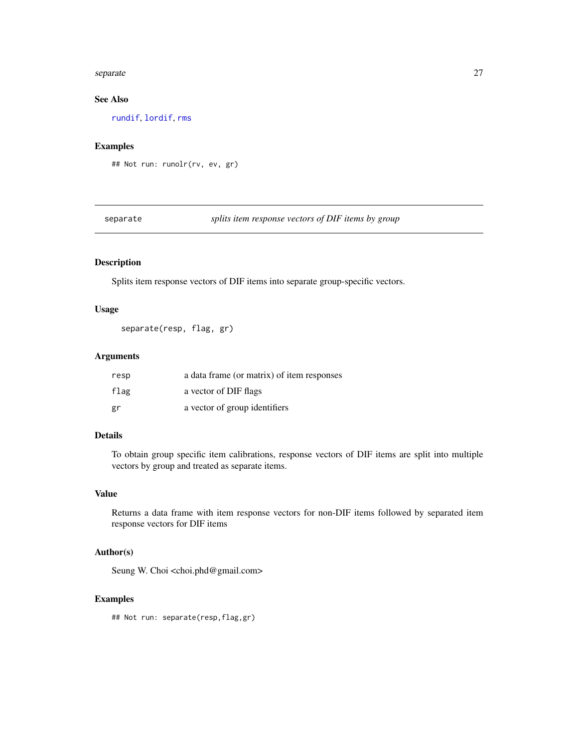#### <span id="page-26-0"></span>separate 27

#### See Also

[rundif](#page-23-1), [lordif](#page-12-1), [rms](#page-0-0)

#### Examples

## Not run: runolr(rv, ev, gr)

separate *splits item response vectors of DIF items by group*

#### Description

Splits item response vectors of DIF items into separate group-specific vectors.

#### Usage

separate(resp, flag, gr)

#### Arguments

| resp | a data frame (or matrix) of item responses |
|------|--------------------------------------------|
| flag | a vector of DIF flags                      |
| gr   | a vector of group identifiers              |

#### Details

To obtain group specific item calibrations, response vectors of DIF items are split into multiple vectors by group and treated as separate items.

#### Value

Returns a data frame with item response vectors for non-DIF items followed by separated item response vectors for DIF items

#### Author(s)

Seung W. Choi <choi.phd@gmail.com>

#### Examples

## Not run: separate(resp,flag,gr)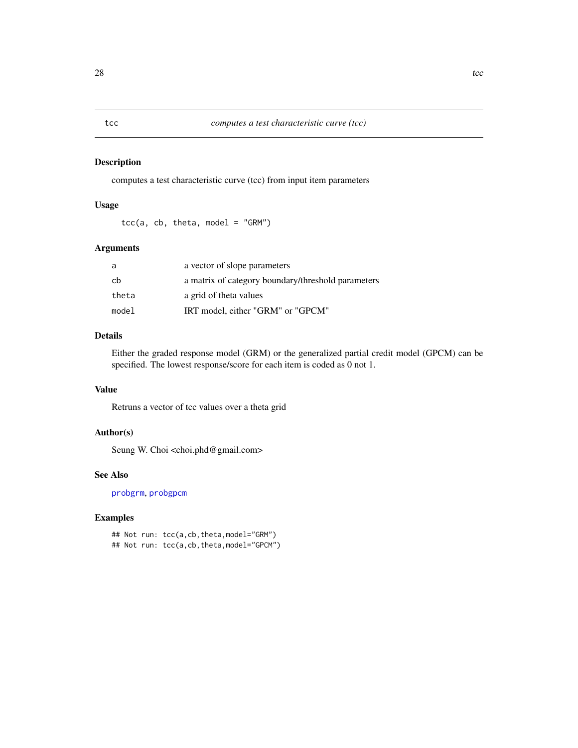#### Description

computes a test characteristic curve (tcc) from input item parameters

#### Usage

 $tcc(a, cb, theta, model = "GRM")$ 

#### Arguments

| a     | a vector of slope parameters                       |
|-------|----------------------------------------------------|
| cb    | a matrix of category boundary/threshold parameters |
| theta | a grid of theta values                             |
| model | IRT model, either "GRM" or "GPCM"                  |

#### Details

Either the graded response model (GRM) or the generalized partial credit model (GPCM) can be specified. The lowest response/score for each item is coded as 0 not 1.

#### Value

Retruns a vector of tcc values over a theta grid

#### Author(s)

Seung W. Choi <choi.phd@gmail.com>

#### See Also

[probgrm](#page-21-1), [probgpcm](#page-20-1)

#### Examples

## Not run: tcc(a,cb,theta,model="GRM") ## Not run: tcc(a,cb,theta,model="GPCM")

<span id="page-27-1"></span><span id="page-27-0"></span>